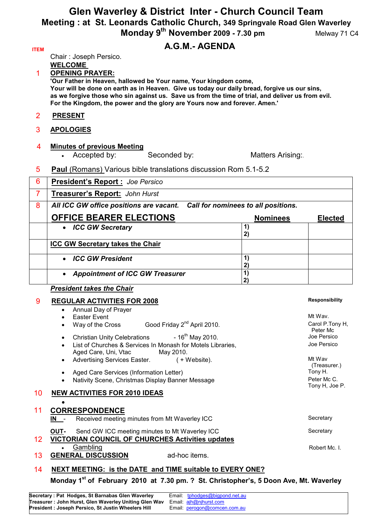# **Glen Waverley & District Inter - Church Council Team Meeting : at St. Leonards Catholic Church, 349 Springvale Road Glen Waverley Monday 9<sup>th</sup> November 2009 - 7.30 pm Melway 71 C4**

# **ITEM A.G.M.- AGENDA**

Chair : Joseph Persico.

**WELCOME** 

1 **OPENING PRAYER:**

**'Our Father in Heaven, hallowed be Your name, Your kingdom come, Your will be done on earth as in Heaven. Give us today our daily bread, forgive us our sins, as we forgive those who sin against us. Save us from the time of trial, and deliver us from evil. For the Kingdom, the power and the glory are Yours now and forever. Amen.'** 

- 2 **PRESENT**
- 3 **APOLOGIES**

# 4 **Minutes of previous Meeting**

• Accepted by: Seconded by: Matters Arising:

## 5 **Paul** (Romans) Various bible translations discussion Rom 5.1-5.2

| 6 | President's Report: Joe Persico         |                                     |                |
|---|-----------------------------------------|-------------------------------------|----------------|
| 7 | Treasurer's Report: John Hurst          |                                     |                |
| 8 | All ICC GW office positions are vacant. | Call for nominees to all positions. |                |
|   | <b>OFFICE BEARER ELECTIONS</b>          | <b>Nominees</b>                     | <b>Elected</b> |
|   | • ICC GW Secretary                      | 2)                                  |                |
|   | <b>ICC GW Secretary takes the Chair</b> |                                     |                |
|   | • ICC GW President                      |                                     |                |
|   | • Appointment of ICC GW Treasurer       |                                     |                |
|   | <b>President takes the Chair</b>        |                                     |                |

## 9 **REGULAR ACTIVITIES FOR 2008**

|                                                                       | Annual Day of Prayer                                                                          |                               |  |  |
|-----------------------------------------------------------------------|-----------------------------------------------------------------------------------------------|-------------------------------|--|--|
|                                                                       | Easter Event                                                                                  | Mt Wav.                       |  |  |
|                                                                       | Good Friday 2 <sup>nd</sup> April 2010.<br>Way of the Cross                                   | Carol P.Tony H,<br>Peter Mc   |  |  |
|                                                                       | Christian Unity Celebrations - 16 <sup>th</sup> May 2010.<br>$\bullet$                        | Joe Persico                   |  |  |
|                                                                       | List of Churches & Services In Monash for Motels Libraries,<br>Aged Care, Uni, Vtac May 2010. | Joe Persico                   |  |  |
|                                                                       | <b>Advertising Services Easter.</b><br>( + Website).<br>$\bullet$                             | Mt Wav<br>(Treasurer.)        |  |  |
|                                                                       | Aged Care Services (Information Letter)                                                       | Tony H.                       |  |  |
|                                                                       | Nativity Scene, Christmas Display Banner Message                                              | Peter Mc C.<br>Tony H, Joe P. |  |  |
| 10 <sup>°</sup>                                                       | <b>NEW ACTIVITIES FOR 2010 IDEAS</b>                                                          |                               |  |  |
|                                                                       |                                                                                               |                               |  |  |
| 11                                                                    | <b>CORRESPONDENCE</b>                                                                         |                               |  |  |
|                                                                       | Received meeting minutes from Mt Waverley ICC<br>IN -                                         | Secretary                     |  |  |
|                                                                       | Send GW ICC meeting minutes to Mt Waverley ICC<br><b>OUT-</b>                                 | Secretary                     |  |  |
| 12 <sup>°</sup>                                                       | <b>VICTORIAN COUNCIL OF CHURCHES Activities updates</b>                                       |                               |  |  |
|                                                                       | Gambling                                                                                      | Robert Mc. I.                 |  |  |
| 13                                                                    | <b>GENERAL DISCUSSION</b><br>ad-hoc items.                                                    |                               |  |  |
| 14                                                                    | NEXT MEETING: is the DATE and TIME suitable to EVERY ONE?                                     |                               |  |  |
| Monday $45^\circ$ , f February 0040 of 7.00 nm 0.04 Obstates bosts FB |                                                                                               |                               |  |  |

#### **Monday 1st of February 2010 at 7.30 pm. ? St. Christopher's, 5 Doon Ave, Mt. Waverley**

| Secretary : Pat Hodges, St Barnabas Glen Waverley      | Email: tphodges@bigpond.net.au |
|--------------------------------------------------------|--------------------------------|
| Treasurer : John Hurst, Glen Waverley Uniting Glen Wav | Email: ajh@njhurst.com         |
| President : Joseph Persico, St Justin Wheelers Hill    | Email: perogon@comcen.com.au   |

#### **Responsibility**